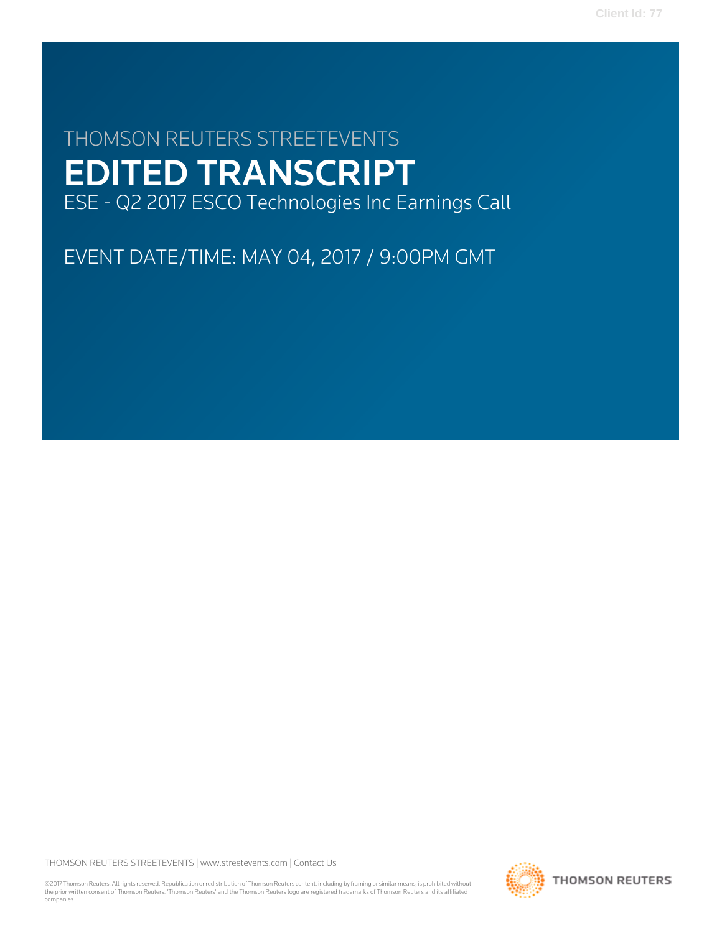# THOMSON REUTERS STREETEVENTS EDITED TRANSCRIPT ESE - Q2 2017 ESCO Technologies Inc Earnings Call

EVENT DATE/TIME: MAY 04, 2017 / 9:00PM GMT

THOMSON REUTERS STREETEVENTS | [www.streetevents.com](http://www.streetevents.com) | [Contact Us](http://www010.streetevents.com/contact.asp)

©2017 Thomson Reuters. All rights reserved. Republication or redistribution of Thomson Reuters content, including by framing or similar means, is prohibited without the prior written consent of Thomson Reuters. 'Thomson Reuters' and the Thomson Reuters logo are registered trademarks of Thomson Reuters and its affiliated companies.

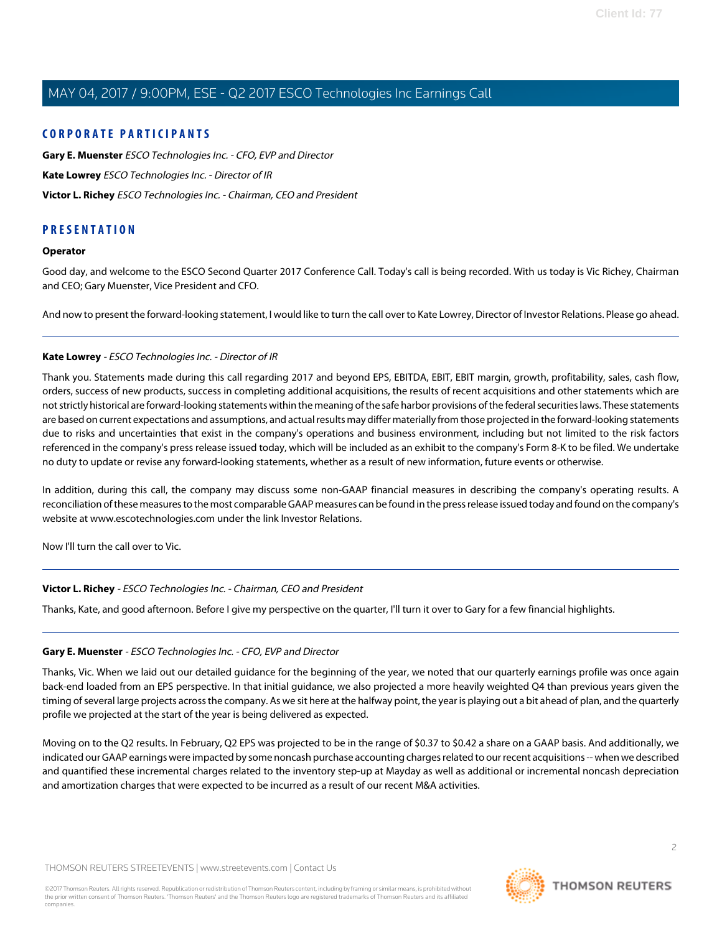### **CORPORATE PARTICIPANTS**

**[Gary E. Muenster](#page-1-0)** ESCO Technologies Inc. - CFO, EVP and Director **[Kate Lowrey](#page-1-1)** ESCO Technologies Inc. - Director of IR **[Victor L. Richey](#page-1-2)** ESCO Technologies Inc. - Chairman, CEO and President

### **PRESENTATION**

### **Operator**

Good day, and welcome to the ESCO Second Quarter 2017 Conference Call. Today's call is being recorded. With us today is Vic Richey, Chairman and CEO; Gary Muenster, Vice President and CFO.

<span id="page-1-1"></span>And now to present the forward-looking statement, I would like to turn the call over to Kate Lowrey, Director of Investor Relations. Please go ahead.

### **Kate Lowrey** - ESCO Technologies Inc. - Director of IR

Thank you. Statements made during this call regarding 2017 and beyond EPS, EBITDA, EBIT, EBIT margin, growth, profitability, sales, cash flow, orders, success of new products, success in completing additional acquisitions, the results of recent acquisitions and other statements which are not strictly historical are forward-looking statements within the meaning of the safe harbor provisions of the federal securities laws. These statements are based on current expectations and assumptions, and actual results may differ materially from those projected in the forward-looking statements due to risks and uncertainties that exist in the company's operations and business environment, including but not limited to the risk factors referenced in the company's press release issued today, which will be included as an exhibit to the company's Form 8-K to be filed. We undertake no duty to update or revise any forward-looking statements, whether as a result of new information, future events or otherwise.

In addition, during this call, the company may discuss some non-GAAP financial measures in describing the company's operating results. A reconciliation of these measures to the most comparable GAAP measures can be found in the press release issued today and found on the company's website at www.escotechnologies.com under the link Investor Relations.

<span id="page-1-2"></span>Now I'll turn the call over to Vic.

### <span id="page-1-0"></span>**Victor L. Richey** - ESCO Technologies Inc. - Chairman, CEO and President

Thanks, Kate, and good afternoon. Before I give my perspective on the quarter, I'll turn it over to Gary for a few financial highlights.

### **Gary E. Muenster** - ESCO Technologies Inc. - CFO, EVP and Director

Thanks, Vic. When we laid out our detailed guidance for the beginning of the year, we noted that our quarterly earnings profile was once again back-end loaded from an EPS perspective. In that initial guidance, we also projected a more heavily weighted Q4 than previous years given the timing of several large projects across the company. As we sit here at the halfway point, the year is playing out a bit ahead of plan, and the quarterly profile we projected at the start of the year is being delivered as expected.

Moving on to the Q2 results. In February, Q2 EPS was projected to be in the range of \$0.37 to \$0.42 a share on a GAAP basis. And additionally, we indicated our GAAP earnings were impacted by some noncash purchase accounting charges related to our recent acquisitions -- when we described and quantified these incremental charges related to the inventory step-up at Mayday as well as additional or incremental noncash depreciation and amortization charges that were expected to be incurred as a result of our recent M&A activities.

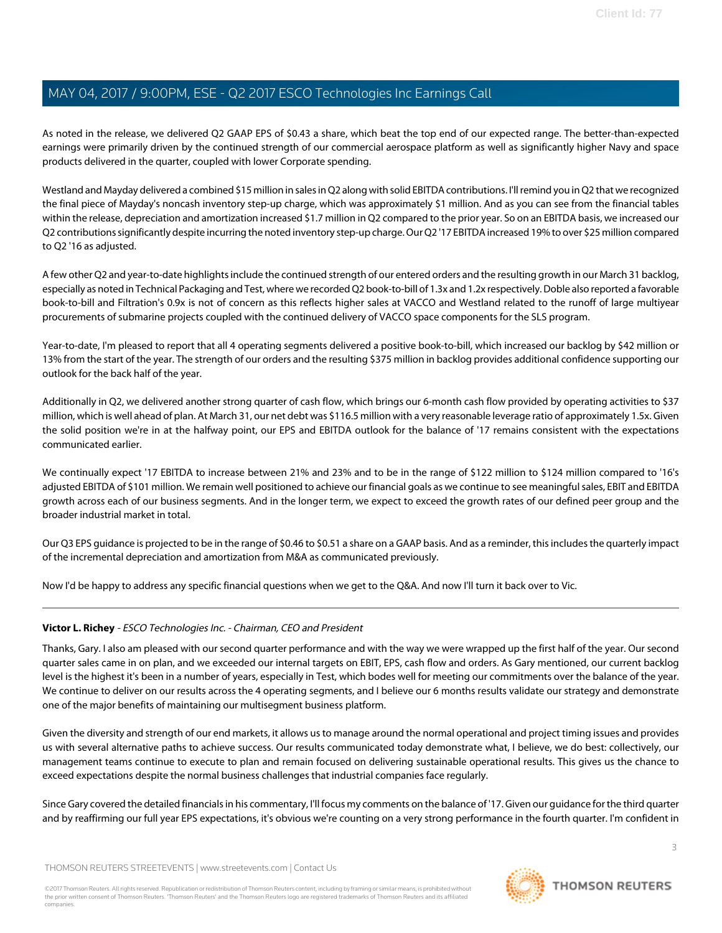As noted in the release, we delivered Q2 GAAP EPS of \$0.43 a share, which beat the top end of our expected range. The better-than-expected earnings were primarily driven by the continued strength of our commercial aerospace platform as well as significantly higher Navy and space products delivered in the quarter, coupled with lower Corporate spending.

Westland and Mayday delivered a combined \$15 million in sales in Q2 along with solid EBITDA contributions. I'll remind you in Q2 that we recognized the final piece of Mayday's noncash inventory step-up charge, which was approximately \$1 million. And as you can see from the financial tables within the release, depreciation and amortization increased \$1.7 million in Q2 compared to the prior year. So on an EBITDA basis, we increased our Q2 contributions significantly despite incurring the noted inventory step-up charge. Our Q2 '17 EBITDA increased 19% to over \$25 million compared to Q2 '16 as adjusted.

A few other Q2 and year-to-date highlights include the continued strength of our entered orders and the resulting growth in our March 31 backlog, especially as noted in Technical Packaging and Test, where we recorded Q2 book-to-bill of 1.3x and 1.2x respectively. Doble also reported a favorable book-to-bill and Filtration's 0.9x is not of concern as this reflects higher sales at VACCO and Westland related to the runoff of large multiyear procurements of submarine projects coupled with the continued delivery of VACCO space components for the SLS program.

Year-to-date, I'm pleased to report that all 4 operating segments delivered a positive book-to-bill, which increased our backlog by \$42 million or 13% from the start of the year. The strength of our orders and the resulting \$375 million in backlog provides additional confidence supporting our outlook for the back half of the year.

Additionally in Q2, we delivered another strong quarter of cash flow, which brings our 6-month cash flow provided by operating activities to \$37 million, which is well ahead of plan. At March 31, our net debt was \$116.5 million with a very reasonable leverage ratio of approximately 1.5x. Given the solid position we're in at the halfway point, our EPS and EBITDA outlook for the balance of '17 remains consistent with the expectations communicated earlier.

We continually expect '17 EBITDA to increase between 21% and 23% and to be in the range of \$122 million to \$124 million compared to '16's adjusted EBITDA of \$101 million. We remain well positioned to achieve our financial goals as we continue to see meaningful sales, EBIT and EBITDA growth across each of our business segments. And in the longer term, we expect to exceed the growth rates of our defined peer group and the broader industrial market in total.

Our Q3 EPS guidance is projected to be in the range of \$0.46 to \$0.51 a share on a GAAP basis. And as a reminder, this includes the quarterly impact of the incremental depreciation and amortization from M&A as communicated previously.

Now I'd be happy to address any specific financial questions when we get to the Q&A. And now I'll turn it back over to Vic.

### **Victor L. Richey** - ESCO Technologies Inc. - Chairman, CEO and President

Thanks, Gary. I also am pleased with our second quarter performance and with the way we were wrapped up the first half of the year. Our second quarter sales came in on plan, and we exceeded our internal targets on EBIT, EPS, cash flow and orders. As Gary mentioned, our current backlog level is the highest it's been in a number of years, especially in Test, which bodes well for meeting our commitments over the balance of the year. We continue to deliver on our results across the 4 operating segments, and I believe our 6 months results validate our strategy and demonstrate one of the major benefits of maintaining our multisegment business platform.

Given the diversity and strength of our end markets, it allows us to manage around the normal operational and project timing issues and provides us with several alternative paths to achieve success. Our results communicated today demonstrate what, I believe, we do best: collectively, our management teams continue to execute to plan and remain focused on delivering sustainable operational results. This gives us the chance to exceed expectations despite the normal business challenges that industrial companies face regularly.

Since Gary covered the detailed financials in his commentary, I'll focus my comments on the balance of '17. Given our guidance for the third quarter and by reaffirming our full year EPS expectations, it's obvious we're counting on a very strong performance in the fourth quarter. I'm confident in

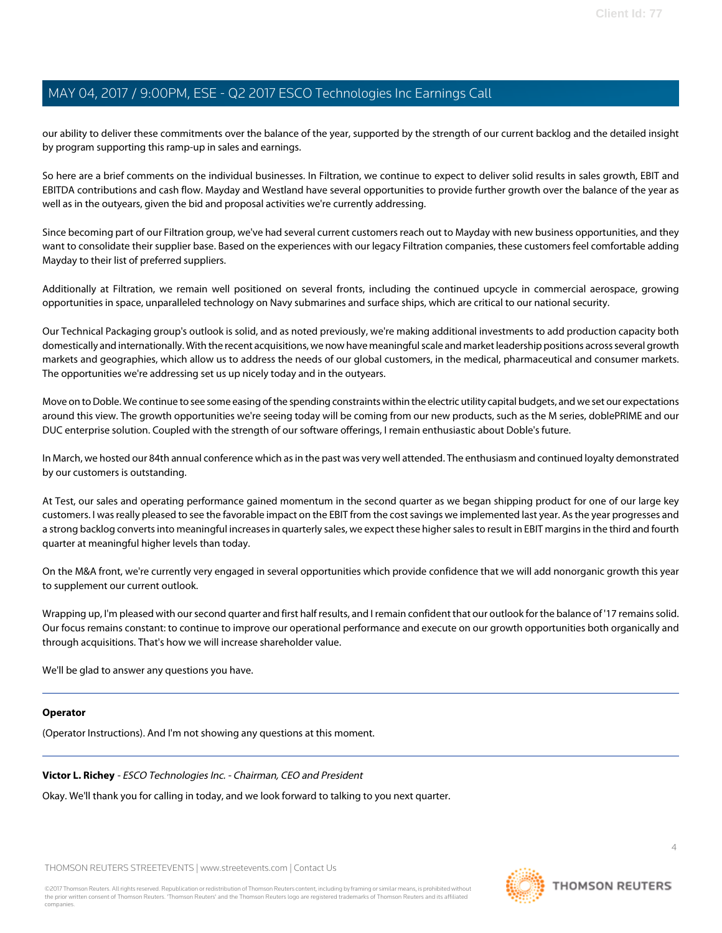our ability to deliver these commitments over the balance of the year, supported by the strength of our current backlog and the detailed insight by program supporting this ramp-up in sales and earnings.

So here are a brief comments on the individual businesses. In Filtration, we continue to expect to deliver solid results in sales growth, EBIT and EBITDA contributions and cash flow. Mayday and Westland have several opportunities to provide further growth over the balance of the year as well as in the outyears, given the bid and proposal activities we're currently addressing.

Since becoming part of our Filtration group, we've had several current customers reach out to Mayday with new business opportunities, and they want to consolidate their supplier base. Based on the experiences with our legacy Filtration companies, these customers feel comfortable adding Mayday to their list of preferred suppliers.

Additionally at Filtration, we remain well positioned on several fronts, including the continued upcycle in commercial aerospace, growing opportunities in space, unparalleled technology on Navy submarines and surface ships, which are critical to our national security.

Our Technical Packaging group's outlook is solid, and as noted previously, we're making additional investments to add production capacity both domestically and internationally. With the recent acquisitions, we now have meaningful scale and market leadership positions across several growth markets and geographies, which allow us to address the needs of our global customers, in the medical, pharmaceutical and consumer markets. The opportunities we're addressing set us up nicely today and in the outyears.

Move on to Doble. We continue to see some easing of the spending constraints within the electric utility capital budgets, and we set our expectations around this view. The growth opportunities we're seeing today will be coming from our new products, such as the M series, doblePRIME and our DUC enterprise solution. Coupled with the strength of our software offerings, I remain enthusiastic about Doble's future.

In March, we hosted our 84th annual conference which as in the past was very well attended. The enthusiasm and continued loyalty demonstrated by our customers is outstanding.

At Test, our sales and operating performance gained momentum in the second quarter as we began shipping product for one of our large key customers. I was really pleased to see the favorable impact on the EBIT from the cost savings we implemented last year. As the year progresses and a strong backlog converts into meaningful increases in quarterly sales, we expect these higher sales to result in EBIT margins in the third and fourth quarter at meaningful higher levels than today.

On the M&A front, we're currently very engaged in several opportunities which provide confidence that we will add nonorganic growth this year to supplement our current outlook.

Wrapping up, I'm pleased with our second quarter and first half results, and I remain confident that our outlook for the balance of '17 remains solid. Our focus remains constant: to continue to improve our operational performance and execute on our growth opportunities both organically and through acquisitions. That's how we will increase shareholder value.

We'll be glad to answer any questions you have.

### **Operator**

(Operator Instructions). And I'm not showing any questions at this moment.

**Victor L. Richey** - ESCO Technologies Inc. - Chairman, CEO and President

Okay. We'll thank you for calling in today, and we look forward to talking to you next quarter.